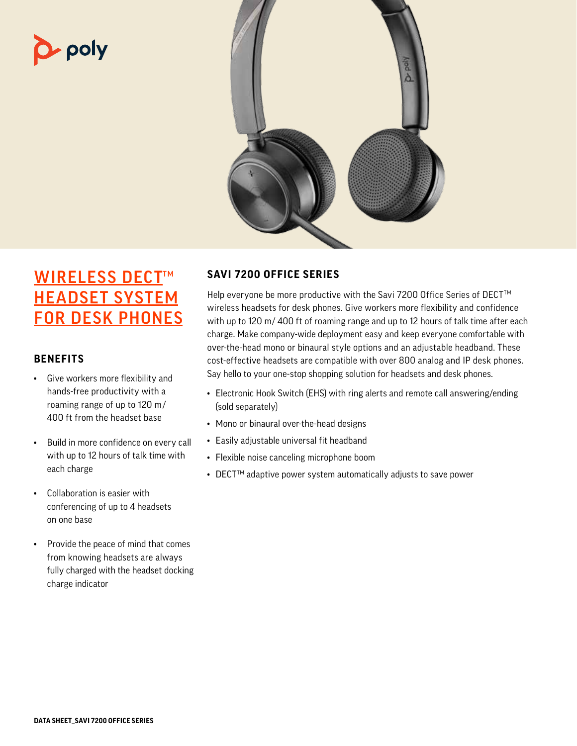# $\Delta$  poly



## **WIRELESS DECT™** HEADSET SYSTEM FOR DESK PHONES

#### **BENEFITS**

- Give workers more flexibility and hands-free productivity with a roaming range of up to 120 m / 400 ft from the headset base
- Build in more confidence on every call with up to 12 hours of talk time with each charge
- Collaboration is easier with conferencing of up to 4 headsets on one base
- Provide the peace of mind that comes from knowing headsets are always fully charged with the headset docking charge indicator

### **SAVI 7200 OFFICE SERIES**

Help everyone be more productive with the Savi 7200 Office Series of DECT<sup>™</sup> wireless headsets for desk phones. Give workers more flexibility and confidence with up to 120 m/ 400 ft of roaming range and up to 12 hours of talk time after each charge. Make company-wide deployment easy and keep everyone comfortable with over-the-head mono or binaural style options and an adjustable headband. These cost-effective headsets are compatible with over 800 analog and IP desk phones. Say hello to your one-stop shopping solution for headsets and desk phones.

- Electronic Hook Switch (EHS) with ring alerts and remote call answering/ending (sold separately)
- Mono or binaural over-the-head designs
- Easily adjustable universal fit headband
- Flexible noise canceling microphone boom
- $\bullet$  DECT<sup>TM</sup> adaptive power system automatically adjusts to save power